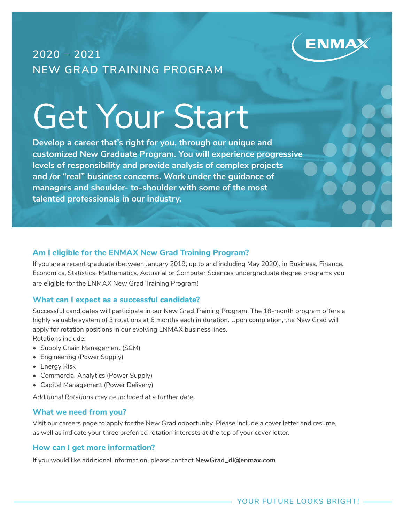

# **2020 – 2021 NEW GRAD TRAINING PROGRAM**

# Get Your Start

**Develop a career that's right for you, through our unique and customized New Graduate Program. You will experience progressive levels of responsibility and provide analysis of complex projects and /or "real" business concerns. Work under the guidance of managers and shoulder- to-shoulder with some of the most talented professionals in our industry.**

#### **Am I eligible for the ENMAX New Grad Training Program?**

If you are a recent graduate (between January 2019, up to and including May 2020), in Business, Finance, Economics, Statistics, Mathematics, Actuarial or Computer Sciences undergraduate degree programs you are eligible for the ENMAX New Grad Training Program!

#### **What can I expect as a successful candidate?**

Successful candidates will participate in our New Grad Training Program. The 18-month program offers a highly valuable system of 3 rotations at 6 months each in duration. Upon completion, the New Grad will apply for rotation positions in our evolving ENMAX business lines. Rotations include:

- Supply Chain Management (SCM)
- Engineering (Power Supply)
- Energy Risk
- Commercial Analytics (Power Supply)
- Capital Management (Power Delivery)

*Additional Rotations may be included at a further date.*

#### **What we need from you?**

Visit our careers page to apply for the New Grad opportunity. Please include a cover letter and resume, as well as indicate your three preferred rotation interests at the top of your cover letter.

#### **How can I get more information?**

If you would like additional information, please contact **NewGrad\_dl@enmax.com**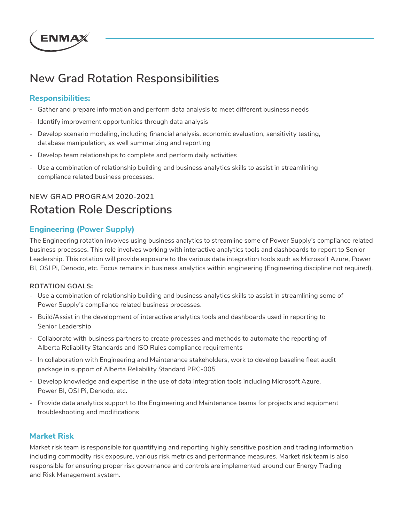

# **New Grad Rotation Responsibilities**

### **Responsibilities:**

- Gather and prepare information and perform data analysis to meet different business needs
- Identify improvement opportunities through data analysis
- Develop scenario modeling, including financial analysis, economic evaluation, sensitivity testing, database manipulation, as well summarizing and reporting
- Develop team relationships to complete and perform daily activities
- Use a combination of relationship building and business analytics skills to assist in streamlining compliance related business processes.

# **NEW GRAD PROGRAM 2020-2021 Rotation Role Descriptions**

## **Engineering (Power Supply)**

The Engineering rotation involves using business analytics to streamline some of Power Supply's compliance related business processes. This role involves working with interactive analytics tools and dashboards to report to Senior Leadership. This rotation will provide exposure to the various data integration tools such as Microsoft Azure, Power BI, OSI Pi, Denodo, etc. Focus remains in business analytics within engineering (Engineering discipline not required).

#### **ROTATION GOALS:**

- Use a combination of relationship building and business analytics skills to assist in streamlining some of Power Supply's compliance related business processes.
- Build/Assist in the development of interactive analytics tools and dashboards used in reporting to Senior Leadership
- Collaborate with business partners to create processes and methods to automate the reporting of Alberta Reliability Standards and ISO Rules compliance requirements
- In collaboration with Engineering and Maintenance stakeholders, work to develop baseline fleet audit package in support of Alberta Reliability Standard PRC-005
- Develop knowledge and expertise in the use of data integration tools including Microsoft Azure, Power BI, OSI Pi, Denodo, etc.
- Provide data analytics support to the Engineering and Maintenance teams for projects and equipment troubleshooting and modifications

## **Market Risk**

Market risk team is responsible for quantifying and reporting highly sensitive position and trading information including commodity risk exposure, various risk metrics and performance measures. Market risk team is also responsible for ensuring proper risk governance and controls are implemented around our Energy Trading and Risk Management system.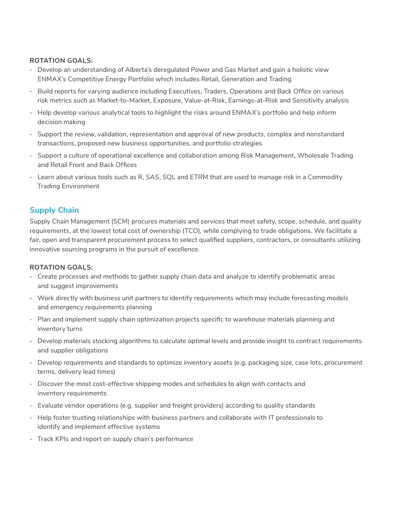#### **ROTATION GOALS:**

- Develop an understanding of Alberta's deregulated Power and Gas Market and gain a holistic view ENMAX's Competitive Energy Portfolio which includes Retail, Generation and Trading
- Build reports for varying audience including Executives, Traders, Operations and Back Office on various risk metrics such as Market-to-Market, Exposure, Value-at-Risk, Earnings-at-Risk and Sensitivity analysis
- Help develop various analytical tools to highlight the risks around ENMAX's portfolio and help inform decision making
- Support the review, validation, representation and approval of new products, complex and nonstandard transactions, proposed new business opportunities, and portfolio strategies
- Support a culture of operational excellence and collaboration among Risk Management, Wholesale Trading and Retail Front and Back Offices
- Learn about various tools such as R, SAS, SQL and ETRM that are used to manage risk in a Commodity Trading Environment

#### **Supply Chain**

Supply Chain Management (SCM) procures materials and services that meet safety, scope, schedule, and quality requirements, at the lowest total cost of ownership (TCO), while complying to trade obligations. We facilitate a fair, open and transparent procurement process to select qualified suppliers, contractors, or consultants utilizing innovative sourcing programs in the pursuit of excellence.

#### **ROTATION GOALS:**

- Create processes and methods to gather supply chain data and analyze to identify problematic areas and suggest improvements
- Work directly with business unit partners to identify requirements which may include forecasting models and emergency requirements planning
- Plan and implement supply chain optimization projects specific to warehouse materials planning and inventory turns
- Develop materials stocking algorithms to calculate optimal levels and provide insight to contract requirements and supplier obligations
- Develop requirements and standards to optimize inventory assets (e.g. packaging size, case lots, procurement terms, delivery lead times)
- Discover the most cost-effective shipping modes and schedules to align with contacts and inventory requirements
- Evaluate vendor operations (e.g. supplier and freight providers) according to quality standards
- Help foster trusting relationships with business partners and collaborate with IT professionals to identify and implement effective systems
- Track KPIs and report on supply chain's performance